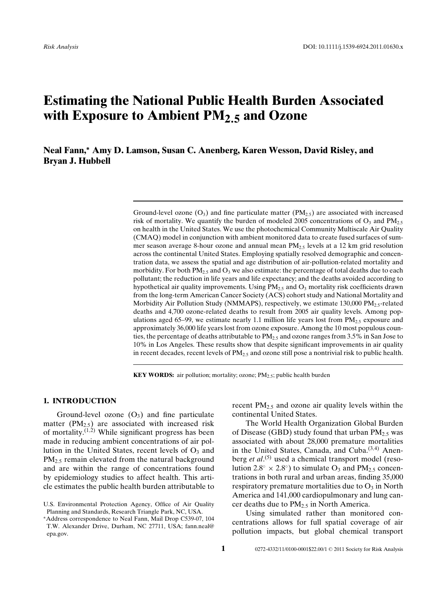# **Estimating the National Public Health Burden Associated with Exposure to Ambient PM2***.***5 and Ozone**

# **Neal Fann,<sup>∗</sup> Amy D. Lamson, Susan C. Anenberg, Karen Wesson, David Risley, and Bryan J. Hubbell**

Ground-level ozone  $(O_3)$  and fine particulate matter  $(PM_{2.5})$  are associated with increased risk of mortality. We quantify the burden of modeled 2005 concentrations of  $O_3$  and  $PM_{2.5}$ on health in the United States. We use the photochemical Community Multiscale Air Quality (CMAQ) model in conjunction with ambient monitored data to create fused surfaces of summer season average 8-hour ozone and annual mean  $PM_{2.5}$  levels at a 12 km grid resolution across the continental United States. Employing spatially resolved demographic and concentration data, we assess the spatial and age distribution of air-pollution-related mortality and morbidity. For both  $PM_{2,5}$  and  $O_3$  we also estimate: the percentage of total deaths due to each pollutant; the reduction in life years and life expectancy; and the deaths avoided according to hypothetical air quality improvements. Using  $PM_{2.5}$  and  $O_3$  mortality risk coefficients drawn from the long-term American Cancer Society (ACS) cohort study and National Mortality and Morbidity Air Pollution Study (NMMAPS), respectively, we estimate  $130,000 \text{ PM}_{2.5}$ -related deaths and 4,700 ozone-related deaths to result from 2005 air quality levels. Among populations aged 65–99, we estimate nearly 1.1 million life years lost from  $PM_{2,5}$  exposure and approximately 36,000 life years lost from ozone exposure. Among the 10 most populous counties, the percentage of deaths attributable to  $PM_{2,5}$  and ozone ranges from 3.5% in San Jose to 10% in Los Angeles. These results show that despite significant improvements in air quality in recent decades, recent levels of  $PM_{2.5}$  and ozone still pose a nontrivial risk to public health.

**KEY WORDS:** air pollution; mortality; ozone;  $PM_2$ <sub>5</sub>; public health burden

## **1. INTRODUCTION**

Ground-level ozone  $(O_3)$  and fine particulate matter  $(PM<sub>2.5</sub>)$  are associated with increased risk of mortality. $(1,2)$  While significant progress has been made in reducing ambient concentrations of air pollution in the United States, recent levels of  $O_3$  and PM<sub>2.5</sub> remain elevated from the natural background and are within the range of concentrations found by epidemiology studies to affect health. This article estimates the public health burden attributable to recent  $PM_{2.5}$  and ozone air quality levels within the continental United States.

The World Health Organization Global Burden of Disease (GBD) study found that urban  $PM_{2.5}$  was associated with about 28,000 premature mortalities in the United States, Canada, and Cuba. $(3,4)$  Anenberg *et al*.<sup>(5)</sup> used a chemical transport model (resolution 2.8° × 2.8°) to simulate  $O_3$  and PM<sub>2.5</sub> concentrations in both rural and urban areas, finding 35,000 respiratory premature mortalities due to  $O_3$  in North America and 141,000 cardiopulmonary and lung cancer deaths due to  $PM<sub>2.5</sub>$  in North America.

Using simulated rather than monitored concentrations allows for full spatial coverage of air pollution impacts, but global chemical transport

U.S. Environmental Protection Agency, Office of Air Quality Planning and Standards, Research Triangle Park, NC, USA.

<sup>∗</sup>Address correspondence to Neal Fann, Mail Drop C539-07, 104 T.W. Alexander Drive, Durham, NC 27711, USA; fann.neal@ epa.gov.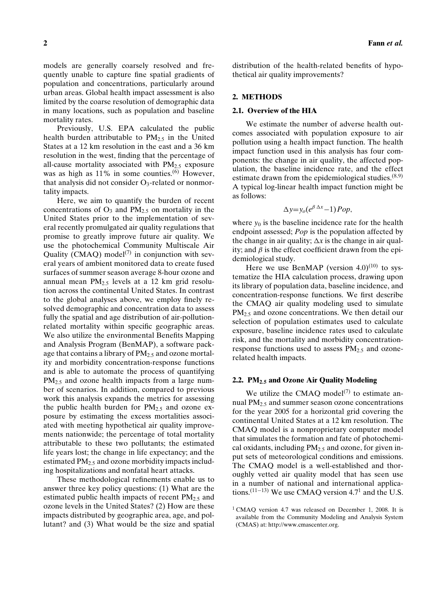models are generally coarsely resolved and frequently unable to capture fine spatial gradients of population and concentrations, particularly around urban areas. Global health impact assessment is also limited by the coarse resolution of demographic data in many locations, such as population and baseline mortality rates.

Previously, U.S. EPA calculated the public health burden attributable to  $PM_{2.5}$  in the United States at a 12 km resolution in the east and a 36 km resolution in the west, finding that the percentage of all-cause mortality associated with  $PM_{2.5}$  exposure was as high as  $11\%$  in some counties.<sup>(6)</sup> However, that analysis did not consider  $O_3$ -related or nonmortality impacts.

Here, we aim to quantify the burden of recent concentrations of  $O_3$  and  $PM_{2.5}$  on mortality in the United States prior to the implementation of several recently promulgated air quality regulations that promise to greatly improve future air quality. We use the photochemical Community Multiscale Air Quality  $(CMAQ)$  model<sup> $(7)$ </sup> in conjunction with several years of ambient monitored data to create fused surfaces of summer season average 8-hour ozone and annual mean PM2.<sup>5</sup> levels at a 12 km grid resolution across the continental United States. In contrast to the global analyses above, we employ finely resolved demographic and concentration data to assess fully the spatial and age distribution of air-pollutionrelated mortality within specific geographic areas. We also utilize the environmental Benefits Mapping and Analysis Program (BenMAP), a software package that contains a library of  $PM_{2.5}$  and ozone mortality and morbidity concentration-response functions and is able to automate the process of quantifying PM<sub>2.5</sub> and ozone health impacts from a large number of scenarios. In addition, compared to previous work this analysis expands the metrics for assessing the public health burden for  $PM_{2.5}$  and ozone exposure by estimating the excess mortalities associated with meeting hypothetical air quality improvements nationwide; the percentage of total mortality attributable to these two pollutants; the estimated life years lost; the change in life expectancy; and the estimated  $PM_{2,5}$  and ozone morbidity impacts including hospitalizations and nonfatal heart attacks.

These methodological refinements enable us to answer three key policy questions: (1) What are the estimated public health impacts of recent  $PM_{2.5}$  and ozone levels in the United States? (2) How are these impacts distributed by geographic area, age, and pollutant? and (3) What would be the size and spatial distribution of the health-related benefits of hypothetical air quality improvements?

#### **2. METHODS**

#### **2.1. Overview of the HIA**

We estimate the number of adverse health outcomes associated with population exposure to air pollution using a health impact function. The health impact function used in this analysis has four components: the change in air quality, the affected population, the baseline incidence rate, and the effect estimate drawn from the epidemiological studies. $(8,9)$ A typical log-linear health impact function might be as follows:

$$
\Delta y = y_o(e^{\beta \Delta x} - 1) Pop,
$$

where  $y_0$  is the baseline incidence rate for the health endpoint assessed; *Pop* is the population affected by the change in air quality;  $\Delta x$  is the change in air quality; and  $\beta$  is the effect coefficient drawn from the epidemiological study.

Here we use BenMAP (version  $4.0^{(10)}$  to systematize the HIA calculation process, drawing upon its library of population data, baseline incidence, and concentration-response functions. We first describe the CMAQ air quality modeling used to simulate  $PM<sub>2.5</sub>$  and ozone concentrations. We then detail our selection of population estimates used to calculate exposure, baseline incidence rates used to calculate risk, and the mortality and morbidity concentrationresponse functions used to assess  $PM<sub>2.5</sub>$  and ozonerelated health impacts.

#### **2.2. PM2***.***<sup>5</sup> and Ozone Air Quality Modeling**

We utilize the CMAQ model<sup> $(7)$ </sup> to estimate annual  $PM<sub>2.5</sub>$  and summer season ozone concentrations for the year 2005 for a horizontal grid covering the continental United States at a 12 km resolution. The CMAQ model is a nonproprietary computer model that simulates the formation and fate of photochemical oxidants, including  $PM_{2,5}$  and ozone, for given input sets of meteorological conditions and emissions. The CMAQ model is a well-established and thoroughly vetted air quality model that has seen use in a number of national and international applications.<sup>(11−13)</sup> We use CMAQ version 4.7<sup>1</sup> and the U.S.

 $1$  CMAQ version 4.7 was released on December 1, 2008. It is available from the Community Modeling and Analysis System (CMAS) at: http://www.cmascenter.org.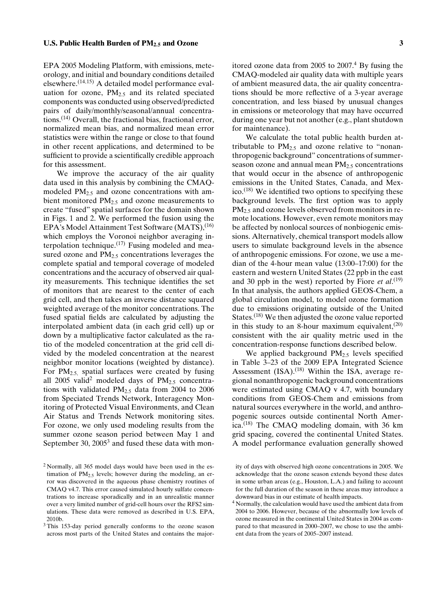EPA 2005 Modeling Platform, with emissions, meteorology, and initial and boundary conditions detailed elsewhere.(14,15) A detailed model performance evaluation for ozone,  $PM_{2.5}$  and its related speciated components was conducted using observed/predicted pairs of daily/monthly/seasonal/annual concentrations.<sup> $(14)$ </sup> Overall, the fractional bias, fractional error, normalized mean bias, and normalized mean error statistics were within the range or close to that found in other recent applications, and determined to be sufficient to provide a scientifically credible approach for this assessment.

We improve the accuracy of the air quality data used in this analysis by combining the CMAQmodeled  $PM_{2.5}$  and ozone concentrations with ambient monitored  $PM<sub>2.5</sub>$  and ozone measurements to create "fused" spatial surfaces for the domain shown in Figs. 1 and 2. We performed the fusion using the EPA's Model Attainment Test Software  $(MATS)$ ,  $^{(16)}$ which employs the Voronoi neighbor averaging interpolation technique.<sup>(17)</sup> Fusing modeled and measured ozone and  $PM<sub>2.5</sub>$  concentrations leverages the complete spatial and temporal coverage of modeled concentrations and the accuracy of observed air quality measurements. This technique identifies the set of monitors that are nearest to the center of each grid cell, and then takes an inverse distance squared weighted average of the monitor concentrations. The fused spatial fields are calculated by adjusting the interpolated ambient data (in each grid cell) up or down by a multiplicative factor calculated as the ratio of the modeled concentration at the grid cell divided by the modeled concentration at the nearest neighbor monitor locations (weighted by distance). For  $PM_{2.5}$  spatial surfaces were created by fusing all 2005 valid<sup>2</sup> modeled days of  $PM_{2.5}$  concentrations with validated  $PM_{2.5}$  data from 2004 to 2006 from Speciated Trends Network, Interagency Monitoring of Protected Visual Environments, and Clean Air Status and Trends Network monitoring sites. For ozone, we only used modeling results from the summer ozone season period between May 1 and September 30,  $2005<sup>3</sup>$  and fused these data with monitored ozone data from  $2005$  to  $2007<sup>4</sup>$  By fusing the CMAQ-modeled air quality data with multiple years of ambient measured data, the air quality concentrations should be more reflective of a 3-year average concentration, and less biased by unusual changes in emissions or meteorology that may have occurred during one year but not another (e.g., plant shutdown for maintenance).

We calculate the total public health burden attributable to  $PM_{2.5}$  and ozone relative to "nonanthropogenic background" concentrations of summerseason ozone and annual mean  $PM<sub>2.5</sub>$  concentrations that would occur in the absence of anthropogenic emissions in the United States, Canada, and Mexico.<sup>(18)</sup> We identified two options to specifying these background levels. The first option was to apply  $PM<sub>2.5</sub>$  and ozone levels observed from monitors in remote locations. However, even remote monitors may be affected by nonlocal sources of nonbiogenic emissions. Alternatively, chemical transport models allow users to simulate background levels in the absence of anthropogenic emissions. For ozone, we use a median of the 4-hour mean value (13:00–17:00) for the eastern and western United States (22 ppb in the east and 30 ppb in the west) reported by Fiore *et al*.<sup>(19)</sup> In that analysis, the authors applied GEOS-Chem, a global circulation model, to model ozone formation due to emissions originating outside of the United States.<sup>(18)</sup> We then adjusted the ozone value reported in this study to an 8-hour maximum equivalent, $(20)$ consistent with the air quality metric used in the concentration-response functions described below.

We applied background  $PM_{2.5}$  levels specified in Table 3–23 of the 2009 EPA Integrated Science Assessment  $(ISA)$ .<sup>(18)</sup> Within the ISA, average regional nonanthropogenic background concentrations were estimated using CMAQ v 4.7, with boundary conditions from GEOS-Chem and emissions from natural sources everywhere in the world, and anthropogenic sources outside continental North America.<sup>(18)</sup> The CMAQ modeling domain, with 36 km grid spacing, covered the continental United States. A model performance evaluation generally showed

<sup>2</sup> Normally, all 365 model days would have been used in the estimation of  $PM_{2,5}$  levels; however during the modeling, an error was discovered in the aqueous phase chemistry routines of CMAQ v4.7. This error caused simulated hourly sulfate concentrations to increase sporadically and in an unrealistic manner over a very limited number of grid-cell hours over the RFS2 simulations. These data were removed as described in U.S. EPA, 2010b.

<sup>3</sup> This 153-day period generally conforms to the ozone season across most parts of the United States and contains the major-

ity of days with observed high ozone concentrations in 2005. We acknowledge that the ozone season extends beyond these dates in some urban areas (e.g., Houston, L.A.) and failing to account for the full duration of the season in these areas may introduce a downward bias in our estimate of health impacts.

<sup>4</sup> Normally, the calculation would have used the ambient data from 2004 to 2006. However, because of the abnormally low levels of ozone measured in the continental United States in 2004 as compared to that measured in 2000–2007, we chose to use the ambient data from the years of 2005–2007 instead.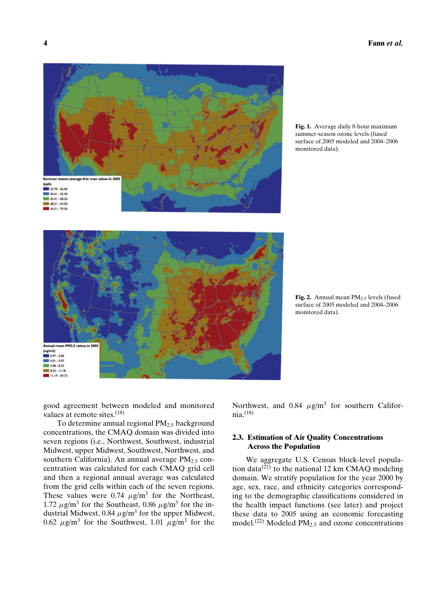

**Fig. 1.** Average daily 8-hour maximum summer-season ozone levels (fused surface of 2005 modeled and 2004–2006 monitored data).



Fig. 2. Annual mean PM<sub>2.5</sub> levels (fused surface of 2005 modeled and 2004–2006 monitored data).

good agreement between modeled and monitored values at remote sites.<sup>(18)</sup>

To determine annual regional  $PM<sub>2.5</sub>$  background concentrations, the CMAQ domain was divided into seven regions (i.e., Northwest, Southwest, industrial Midwest, upper Midwest, Southwest, Northwest, and southern California). An annual average  $PM<sub>2.5</sub>$  concentration was calculated for each CMAQ grid cell and then a regional annual average was calculated from the grid cells within each of the seven regions. These values were 0.74  $\mu$ g/m<sup>3</sup> for the Northeast, 1.72  $\mu$ g/m<sup>3</sup> for the Southeast, 0.86  $\mu$ g/m<sup>3</sup> for the industrial Midwest, 0.84  $\mu$ g/m<sup>3</sup> for the upper Midwest, 0.62  $\mu$ g/m<sup>3</sup> for the Southwest, 1.01  $\mu$ g/m<sup>3</sup> for the Northwest, and 0.84  $\mu$ g/m<sup>3</sup> for southern California.(18)

## **2.3. Estimation of Air Quality Concentrations Across the Population**

We aggregate U.S. Census block-level population data $^{(21)}$  to the national 12 km CMAO modeling domain. We stratify population for the year 2000 by age, sex, race, and ethnicity categories corresponding to the demographic classifications considered in the health impact functions (see later) and project these data to 2005 using an economic forecasting model.<sup>(22)</sup> Modeled PM<sub>2.5</sub> and ozone concentrations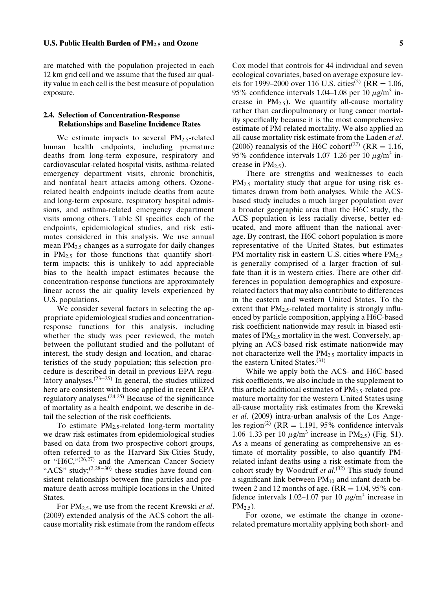are matched with the population projected in each 12 km grid cell and we assume that the fused air quality value in each cell is the best measure of population exposure.

## **2.4. Selection of Concentration-Response Relationships and Baseline Incidence Rates**

We estimate impacts to several  $PM_{2.5}$ -related human health endpoints, including premature deaths from long-term exposure, respiratory and cardiovascular-related hospital visits, asthma-related emergency department visits, chronic bronchitis, and nonfatal heart attacks among others. Ozonerelated health endpoints include deaths from acute and long-term exposure, respiratory hospital admissions, and asthma-related emergency department visits among others. Table SI specifies each of the endpoints, epidemiological studies, and risk estimates considered in this analysis. We use annual mean  $PM<sub>2.5</sub>$  changes as a surrogate for daily changes in  $PM_{2.5}$  for those functions that quantify shortterm impacts; this is unlikely to add appreciable bias to the health impact estimates because the concentration-response functions are approximately linear across the air quality levels experienced by U.S. populations.

We consider several factors in selecting the appropriate epidemiological studies and concentrationresponse functions for this analysis, including whether the study was peer reviewed, the match between the pollutant studied and the pollutant of interest, the study design and location, and characteristics of the study population; this selection procedure is described in detail in previous EPA regulatory analyses.(23−25) In general, the studies utilized here are consistent with those applied in recent EPA regulatory analyses.<sup> $(24,25)$ </sup> Because of the significance of mortality as a health endpoint, we describe in detail the selection of the risk coefficients.

To estimate  $PM_{2.5}$ -related long-term mortality we draw risk estimates from epidemiological studies based on data from two prospective cohort groups, often referred to as the Harvard Six-Cities Study, or "H6C,"(26,27) and the American Cancer Society "ACS" study; $(2,28-30)$  these studies have found consistent relationships between fine particles and premature death across multiple locations in the United States.

For PM2.5, we use from the recent Krewski *et al*. (2009) extended analysis of the ACS cohort the allcause mortality risk estimate from the random effects Cox model that controls for 44 individual and seven ecological covariates, based on average exposure levels for 1999–2000 over 116 U.S. cities<sup>(2)</sup> (RR = 1.06, 95% confidence intervals 1.04–1.08 per 10  $\mu$ g/m<sup>3</sup> increase in  $PM_{2.5}$ ). We quantify all-cause mortality rather than cardiopulmonary or lung cancer mortality specifically because it is the most comprehensive estimate of PM-related mortality. We also applied an all-cause mortality risk estimate from the Laden *et al*. (2006) reanalysis of the H6C cohort<sup>(27)</sup> (RR = 1.16, 95% confidence intervals 1.07–1.26 per 10  $\mu$ g/m<sup>3</sup> increase in  $PM_{2.5}$ ).

There are strengths and weaknesses to each  $PM_{2.5}$  mortality study that argue for using risk estimates drawn from both analyses. While the ACSbased study includes a much larger population over a broader geographic area than the H6C study, the ACS population is less racially diverse, better educated, and more affluent than the national average. By contrast, the H6C cohort population is more representative of the United States, but estimates PM mortality risk in eastern U.S. cities where  $PM_{2.5}$ is generally comprised of a larger fraction of sulfate than it is in western cities. There are other differences in population demographics and exposurerelated factors that may also contribute to differences in the eastern and western United States. To the extent that  $PM_{2.5}$ -related mortality is strongly influenced by particle composition, applying a H6C-based risk coefficient nationwide may result in biased estimates of  $PM_{2,5}$  mortality in the west. Conversely, applying an ACS-based risk estimate nationwide may not characterize well the  $PM<sub>2.5</sub>$  mortality impacts in the eastern United States.(31)

While we apply both the ACS- and H6C-based risk coefficients, we also include in the supplement to this article additional estimates of  $PM_{2.5}$ -related premature mortality for the western United States using all-cause mortality risk estimates from the Krewski *et al*. (2009) intra-urban analysis of the Los Angeles region<sup>(2)</sup> (RR = 1.191, 95% confidence intervals 1.06–1.33 per 10  $\mu$ g/m<sup>3</sup> increase in PM<sub>2.5</sub>) (Fig. S1). As a means of generating as comprehensive an estimate of mortality possible, to also quantify PMrelated infant deaths using a risk estimate from the cohort study by Woodruff *et al*. (32) This study found a significant link between  $PM_{10}$  and infant death between 2 and 12 months of age.  $(RR = 1.04, 95\%$  confidence intervals 1.02–1.07 per 10  $\mu$ g/m<sup>3</sup> increase in  $PM_{2.5}$ ).

For ozone, we estimate the change in ozonerelated premature mortality applying both short- and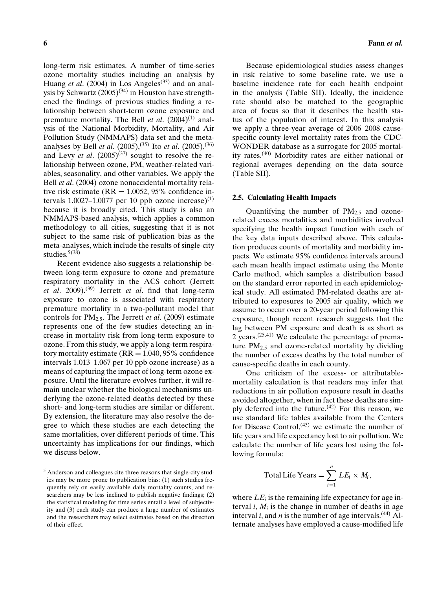long-term risk estimates. A number of time-series ozone mortality studies including an analysis by Huang *et al.* (2004) in Los Angeles<sup>(33)</sup> and an analysis by Schwartz  $(2005)^{(34)}$  in Houston have strengthened the findings of previous studies finding a relationship between short-term ozone exposure and premature mortality. The Bell *et al.*  $(2004)^{(1)}$  analysis of the National Morbidity, Mortality, and Air Pollution Study (NMMAPS) data set and the metaanalyses by Bell *et al*. (2005),(35) Ito *et al*. (2005),(36) and Levy *et al.*  $(2005)^{(37)}$  sought to resolve the relationship between ozone, PM, weather-related variables, seasonality, and other variables. We apply the Bell *et al*. (2004) ozone nonaccidental mortality relative risk estimate ( $RR = 1.0052$ , 95% confidence intervals 1.0027–1.0077 per 10 ppb ozone increase)<sup>(1)</sup> because it is broadly cited. This study is also an NMMAPS-based analysis, which applies a common methodology to all cities, suggesting that it is not subject to the same risk of publication bias as the meta-analyses, which include the results of single-city studies.<sup>5(38)</sup>

Recent evidence also suggests a relationship between long-term exposure to ozone and premature respiratory mortality in the ACS cohort (Jerrett *et al*. 2009).(39) Jerrett *et al*. find that long-term exposure to ozone is associated with respiratory premature mortality in a two-pollutant model that controls for PM2.5. The Jerrett *et al*. (2009) estimate represents one of the few studies detecting an increase in mortality risk from long-term exposure to ozone. From this study, we apply a long-term respiratory mortality estimate ( $RR = 1.040, 95\%$  confidence intervals 1.013–1.067 per 10 ppb ozone increase) as a means of capturing the impact of long-term ozone exposure. Until the literature evolves further, it will remain unclear whether the biological mechanisms underlying the ozone-related deaths detected by these short- and long-term studies are similar or different. By extension, the literature may also resolve the degree to which these studies are each detecting the same mortalities, over different periods of time. This uncertainty has implications for our findings, which we discuss below.

Because epidemiological studies assess changes in risk relative to some baseline rate, we use a baseline incidence rate for each health endpoint in the analysis (Table SII). Ideally, the incidence rate should also be matched to the geographic area of focus so that it describes the health status of the population of interest. In this analysis we apply a three-year average of 2006–2008 causespecific county-level mortality rates from the CDC-WONDER database as a surrogate for 2005 mortality rates.(40) Morbidity rates are either national or regional averages depending on the data source (Table SII).

## **2.5. Calculating Health Impacts**

Quantifying the number of  $PM_{2.5}$  and ozonerelated excess mortalities and morbidities involved specifying the health impact function with each of the key data inputs described above. This calculation produces counts of mortality and morbidity impacts. We estimate 95% confidence intervals around each mean health impact estimate using the Monte Carlo method, which samples a distribution based on the standard error reported in each epidemiological study. All estimated PM-related deaths are attributed to exposures to 2005 air quality, which we assume to occur over a 20-year period following this exposure, though recent research suggests that the lag between PM exposure and death is as short as 2 years.<sup>(25,41)</sup> We calculate the percentage of premature  $PM_{2.5}$  and ozone-related mortality by dividing the number of excess deaths by the total number of cause-specific deaths in each county.

One criticism of the excess- or attributablemortality calculation is that readers may infer that reductions in air pollution exposure result in deaths avoided altogether, when in fact these deaths are simply deferred into the future.<sup> $(42)$ </sup> For this reason, we use standard life tables available from the Centers for Disease Control, $(43)$  we estimate the number of life years and life expectancy lost to air pollution. We calculate the number of life years lost using the following formula:

Total Life Years = 
$$
\sum_{i=1}^{n} LE_i \times M_i,
$$

where  $LE<sub>i</sub>$  is the remaining life expectancy for age interval  $i$ ,  $M_i$  is the change in number of deaths in age interval *i*, and *n* is the number of age intervals.<sup>(44)</sup> Alternate analyses have employed a cause-modified life

<sup>5</sup> Anderson and colleagues cite three reasons that single-city studies may be more prone to publication bias: (1) such studies frequently rely on easily available daily mortality counts, and researchers may be less inclined to publish negative findings; (2) the statistical modeling for time series entail a level of subjectivity and (3) each study can produce a large number of estimates and the researchers may select estimates based on the direction of their effect.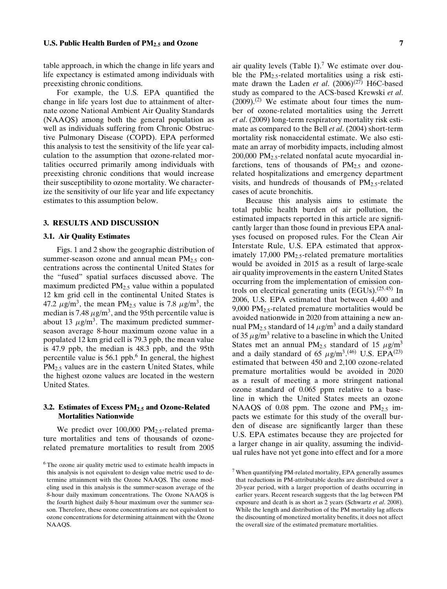table approach, in which the change in life years and life expectancy is estimated among individuals with preexisting chronic conditions.

For example, the U.S. EPA quantified the change in life years lost due to attainment of alternate ozone National Ambient Air Quality Standards (NAAQS) among both the general population as well as individuals suffering from Chronic Obstructive Pulmonary Disease (COPD). EPA performed this analysis to test the sensitivity of the life year calculation to the assumption that ozone-related mortalities occurred primarily among individuals with preexisting chronic conditions that would increase their susceptibility to ozone mortality. We characterize the sensitivity of our life year and life expectancy estimates to this assumption below.

#### **3. RESULTS AND DISCUSSION**

#### **3.1. Air Quality Estimates**

Figs. 1 and 2 show the geographic distribution of summer-season ozone and annual mean  $PM<sub>2.5</sub>$  concentrations across the continental United States for the "fused" spatial surfaces discussed above. The maximum predicted  $PM<sub>2.5</sub>$  value within a populated 12 km grid cell in the continental United States is 47.2  $\mu$ g/m<sup>3</sup>, the mean PM<sub>2.5</sub> value is 7.8  $\mu$ g/m<sup>3</sup>, the median is 7.48  $\mu$ g/m<sup>3</sup>, and the 95th percentile value is about 13  $\mu$ g/m<sup>3</sup>. The maximum predicted summerseason average 8-hour maximum ozone value in a populated 12 km grid cell is 79.3 ppb, the mean value is 47.9 ppb, the median is 48.3 ppb, and the 95th percentile value is  $56.1$  ppb.<sup>6</sup> In general, the highest PM<sub>2.5</sub> values are in the eastern United States, while the highest ozone values are located in the western United States.

## **3.2. Estimates of Excess PM2***.***<sup>5</sup> and Ozone-Related Mortalities Nationwide**

We predict over 100,000 PM<sub>2.5</sub>-related premature mortalities and tens of thousands of ozonerelated premature mortalities to result from 2005

air quality levels (Table I).<sup>7</sup> We estimate over double the  $PM_2$ <sub>5</sub>-related mortalities using a risk estimate drawn the Laden *et al.*  $(2006)^{(27)}$  H6C-based study as compared to the ACS-based Krewski *et al*.  $(2009)$ .<sup>(2)</sup> We estimate about four times the number of ozone-related mortalities using the Jerrett *et al*. (2009) long-term respiratory mortality risk estimate as compared to the Bell *et al*. (2004) short-term mortality risk nonaccidental estimate. We also estimate an array of morbidity impacts, including almost  $200,000$  PM<sub>2.5</sub>-related nonfatal acute myocardial infarctions, tens of thousands of  $PM_{2.5}$  and ozonerelated hospitalizations and emergency department visits, and hundreds of thousands of  $PM_{2.5}$ -related cases of acute bronchitis.

Because this analysis aims to estimate the total public health burden of air pollution, the estimated impacts reported in this article are significantly larger than those found in previous EPA analyses focused on proposed rules. For the Clean Air Interstate Rule, U.S. EPA estimated that approximately  $17,000 \text{ PM}_2$ , related premature mortalities would be avoided in 2015 as a result of large-scale air quality improvements in the eastern United States occurring from the implementation of emission controls on electrical generating units  $(EGUs)$ .<sup>(25,45)</sup> In 2006, U.S. EPA estimated that between 4,400 and 9,000  $PM_{2.5}$ -related premature mortalities would be avoided nationwide in 2020 from attaining a new annual PM<sub>2.5</sub> standard of 14  $\mu$ g/m<sup>3</sup> and a daily standard of 35  $\mu$ g/m<sup>3</sup> relative to a baseline in which the United States met an annual PM<sub>2.5</sub> standard of 15  $\mu$ g/m<sup>3</sup> and a daily standard of 65  $\mu$ g/m<sup>3</sup>.<sup>(46)</sup> U.S. EPA<sup>(23)</sup> estimated that between 450 and 2,100 ozone-related premature mortalities would be avoided in 2020 as a result of meeting a more stringent national ozone standard of 0.065 ppm relative to a baseline in which the United States meets an ozone NAAQS of 0.08 ppm. The ozone and  $PM_{2.5}$  impacts we estimate for this study of the overall burden of disease are significantly larger than these U.S. EPA estimates because they are projected for a larger change in air quality, assuming the individual rules have not yet gone into effect and for a more

<sup>6</sup> The ozone air quality metric used to estimate health impacts in this analysis is not equivalent to design value metric used to determine attainment with the Ozone NAAQS. The ozone modeling used in this analysis is the summer-season average of the 8-hour daily maximum concentrations. The Ozone NAAQS is the fourth highest daily 8-hour maximum over the summer season. Therefore, these ozone concentrations are not equivalent to ozone concentrations for determining attainment with the Ozone NAAQS.

<sup>7</sup> When quantifying PM-related mortality, EPA generally assumes that reductions in PM-attributable deaths are distributed over a 20-year period, with a larger proportion of deaths occurring in earlier years. Recent research suggests that the lag between PM exposure and death is as short as 2 years (Schwartz *et al*. 2008). While the length and distribution of the PM mortality lag affects the discounting of monetized mortality benefits, it does not affect the overall size of the estimated premature mortalities.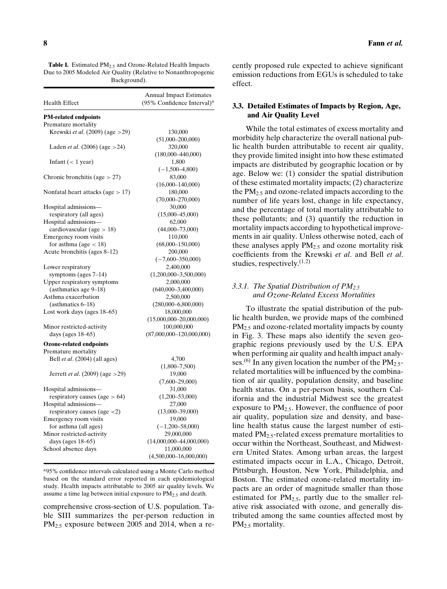Table I. Estimated PM<sub>2.5</sub> and Ozone-Related Health Impacts Due to 2005 Modeled Air Quality (Relative to Nonanthropogenic Background).

| <b>Health Effect</b>                      | <b>Annual Impact Estimates</b><br>(95% Confidence Interval) <sup>a</sup> |
|-------------------------------------------|--------------------------------------------------------------------------|
| <b>PM-related endpoints</b>               |                                                                          |
| Premature mortality                       |                                                                          |
| Krewski et al. (2009) (age > 29)          | 130,000                                                                  |
|                                           | $(51,000 - 200,000)$                                                     |
| Laden <i>et al.</i> (2006) (age $>24$ )   | 320,000                                                                  |
|                                           | $(180,000 - 440,000)$                                                    |
| Infant $(< 1$ year)                       | 1,800                                                                    |
|                                           | $(-1,500-4,800)$                                                         |
| Chronic bronchitis (age $> 27$ )          | 83,000                                                                   |
|                                           | $(16,000-140,000)$                                                       |
| Nonfatal heart attacks (age $> 17$ )      | 180,000                                                                  |
|                                           | $(70,000 - 270,000)$                                                     |
| Hospital admissions-                      | 30,000                                                                   |
| respiratory (all ages)                    | $(15,000-45,000)$                                                        |
| Hospital admissions-                      | 62,000                                                                   |
| cardiovascular (age $> 18$ )              | $(44,000 - 73,000)$                                                      |
| Emergency room visits                     | 110,000                                                                  |
| for asthma (age $<$ 18)                   | $(68,000-150,000)$                                                       |
| Acute bronchitis (ages 8-12)              | 200,000                                                                  |
|                                           | $(-7,600-350,000)$                                                       |
| Lower respiratory                         | 2,400,000                                                                |
| symptoms (ages $7-14$ )                   | $(1,200,000-3,500,000)$                                                  |
| Upper respiratory symptoms                | 2,000,000                                                                |
| (asthmatics age 9-18)                     | $(640,000-3,400,000)$                                                    |
| Asthma exacerbation                       | 2,500,000                                                                |
| $(asthmatics 6-18)$                       | $(280,000-6,800,000)$                                                    |
| Lost work days (ages 18-65)               | 18,000,000                                                               |
|                                           | $(15,000,000-20,000,000)$                                                |
| Minor restricted-activity                 | 100,000,000                                                              |
|                                           |                                                                          |
| days (ages $18-65$ )                      | $(87,000,000 - 120,000,000)$                                             |
| <b>Ozone-related endpoints</b>            |                                                                          |
| Premature mortality                       |                                                                          |
| Bell et al. (2004) (all ages)             | 4,700                                                                    |
|                                           | $(1,800-7,500)$                                                          |
| Jerrett <i>et al.</i> (2009) (age $>29$ ) | 19,000                                                                   |
|                                           | $(7,600 - 29,000)$                                                       |
| Hospital admissions-                      | 31,000                                                                   |
| respiratory causes (age $> 64$ )          | $(1,200 - 53,000)$                                                       |
| Hospital admissions-                      | 27,000                                                                   |
| respiratory causes (age <2)               | $(13,000 - 39,000)$                                                      |
| Emergency room visits                     | 19,000                                                                   |
| for asthma (all ages)                     | $(-1,200 - 58,000)$                                                      |
| Minor restricted-activity                 | 29,000,000                                                               |
| days (ages $18-65$ )                      | $(14,000,000 - 44,000,000)$                                              |
| School absence days                       | 11,000,000                                                               |
|                                           | $(4,500,000 - 16,000,000)$                                               |

a95% confidence intervals calculated using a Monte Carlo method based on the standard error reported in each epidemiological study. Health impacts attributable to 2005 air quality levels. We assume a time lag between initial exposure to  $PM_{2.5}$  and death.

comprehensive cross-section of U.S. population. Table SIII summarizes the per-person reduction in PM2.<sup>5</sup> exposure between 2005 and 2014, when a recently proposed rule expected to achieve significant emission reductions from EGUs is scheduled to take effect.

## **3.3. Detailed Estimates of Impacts by Region, Age, and Air Quality Level**

While the total estimates of excess mortality and morbidity help characterize the overall national public health burden attributable to recent air quality, they provide limited insight into how these estimated impacts are distributed by geographic location or by age. Below we: (1) consider the spatial distribution of these estimated mortality impacts; (2) characterize the  $PM_{2.5}$  and ozone-related impacts according to the number of life years lost, change in life expectancy, and the percentage of total mortality attributable to these pollutants; and (3) quantify the reduction in mortality impacts according to hypothetical improvements in air quality. Unless otherwise noted, each of these analyses apply  $PM<sub>2.5</sub>$  and ozone mortality risk coefficients from the Krewski *et al*. and Bell *et al*. studies, respectively.(1,2)

## *3.3.1. The Spatial Distribution of PM2*.*<sup>5</sup> and Ozone-Related Excess Mortalities*

To illustrate the spatial distribution of the public health burden, we provide maps of the combined  $PM<sub>2.5</sub>$  and ozone-related mortality impacts by county in Fig. 3. These maps also identify the seven geographic regions previously used by the U.S. EPA when performing air quality and health impact analyses.<sup>(6)</sup> In any given location the number of the  $PM_{2.5}$ related mortalities will be influenced by the combination of air quality, population density, and baseline health status. On a per-person basis, southern California and the industrial Midwest see the greatest exposure to  $PM_{2.5}$ . However, the confluence of poor air quality, population size and density, and baseline health status cause the largest number of estimated  $PM_{2.5}$ -related excess premature mortalities to occur within the Northeast, Southeast, and Midwestern United States. Among urban areas, the largest estimated impacts occur in L.A., Chicago, Detroit, Pittsburgh, Houston, New York, Philadelphia, and Boston. The estimated ozone-related mortality impacts are an order of magnitude smaller than those estimated for  $PM_{2.5}$ , partly due to the smaller relative risk associated with ozone, and generally distributed among the same counties affected most by PM<sub>2.5</sub> mortality.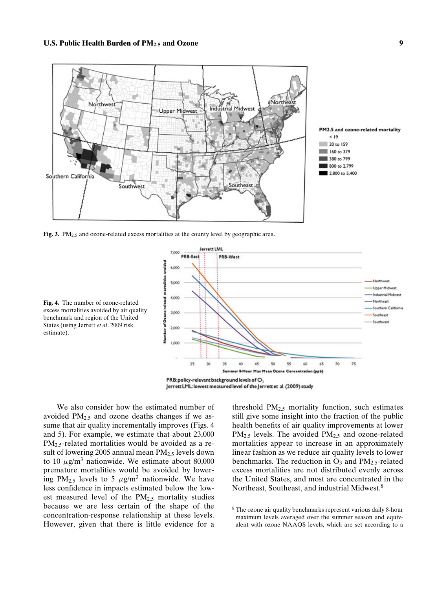

Fig. 3. PM<sub>2.5</sub> and ozone-related excess mortalities at the county level by geographic area.





We also consider how the estimated number of avoided  $PM_{2.5}$  and ozone deaths changes if we assume that air quality incrementally improves (Figs. 4 and 5). For example, we estimate that about 23,000 PM<sub>2.5</sub>-related mortalities would be avoided as a result of lowering 2005 annual mean  $PM_{2.5}$  levels down to 10  $\mu$ g/m<sup>3</sup> nationwide. We estimate about 80,000 premature mortalities would be avoided by lowering PM<sub>2.5</sub> levels to 5  $\mu$ g/m<sup>3</sup> nationwide. We have less confidence in impacts estimated below the lowest measured level of the  $PM_{2.5}$  mortality studies because we are less certain of the shape of the concentration-response relationship at these levels. However, given that there is little evidence for a

**Fig. 4.** The number of ozone-related excess mortalities avoided by air quality benchmark and region of the United States (using Jerrett *et al*. 2009 risk

estimate).

threshold  $PM_{2.5}$  mortality function, such estimates still give some insight into the fraction of the public health benefits of air quality improvements at lower  $PM_{2.5}$  levels. The avoided  $PM_{2.5}$  and ozone-related mortalities appear to increase in an approximately linear fashion as we reduce air quality levels to lower benchmarks. The reduction in  $O_3$  and  $PM_2$ <sub>5</sub>-related excess mortalities are not distributed evenly across the United States, and most are concentrated in the Northeast, Southeast, and industrial Midwest.<sup>8</sup>

<sup>8</sup> The ozone air quality benchmarks represent various daily 8-hour maximum levels averaged over the summer season and equivalent with ozone NAAQS levels, which are set according to a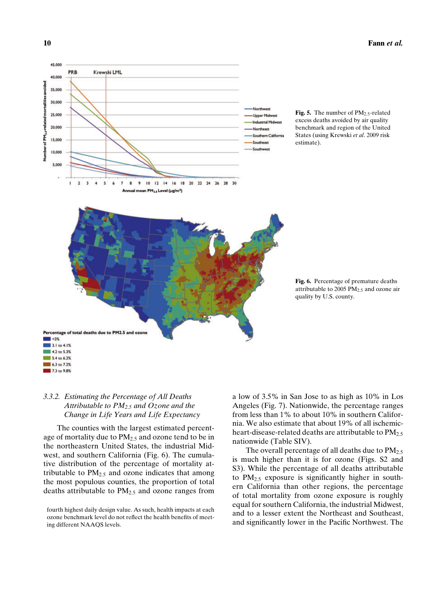

# *3.3.2. Estimating the Percentage of All Deaths Attributable to PM2*.*<sup>5</sup> and Ozone and the Change in Life Years and Life Expectancy*

The counties with the largest estimated percentage of mortality due to  $PM_{2.5}$  and ozone tend to be in the northeastern United States, the industrial Midwest, and southern California (Fig. 6). The cumulative distribution of the percentage of mortality attributable to  $PM<sub>2.5</sub>$  and ozone indicates that among the most populous counties, the proportion of total deaths attributable to  $PM_{2.5}$  and ozone ranges from a low of 3.5% in San Jose to as high as 10% in Los Angeles (Fig. 7). Nationwide, the percentage ranges from less than 1% to about 10% in southern California. We also estimate that about 19% of all ischemicheart-disease-related deaths are attributable to  $PM<sub>2.5</sub>$ nationwide (Table SIV).

The overall percentage of all deaths due to  $PM_{2.5}$ is much higher than it is for ozone (Figs. S2 and S3). While the percentage of all deaths attributable to  $PM_{2.5}$  exposure is significantly higher in southern California than other regions, the percentage of total mortality from ozone exposure is roughly equal for southern California, the industrial Midwest, and to a lesser extent the Northeast and Southeast, and significantly lower in the Pacific Northwest. The

fourth highest daily design value. As such, health impacts at each ozone benchmark level do not reflect the health benefits of meeting different NAAQS levels.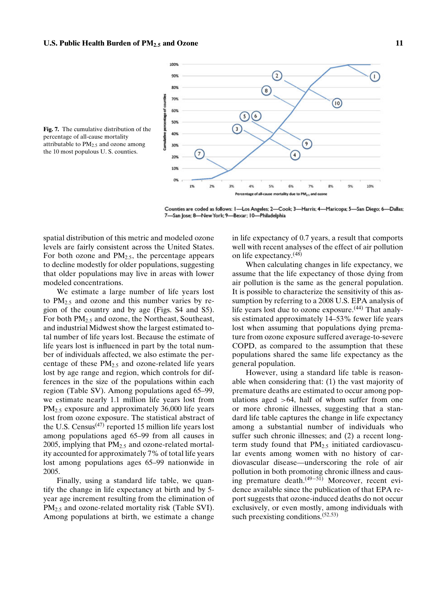

**Fig. 7.** The cumulative distribution of the percentage of all-cause mortality attributable to  $PM<sub>2.5</sub>$  and ozone among the 10 most populous U. S. counties.

Counties are coded as follows: 1-Los Angeles: 2-Cook: 3-Harris: 4-Maricopa: 5-San Diego: 6-Dallas: 7-San Jose; 8-New York; 9-Bexar; 10-Philadelphia

spatial distribution of this metric and modeled ozone levels are fairly consistent across the United States. For both ozone and  $PM<sub>2.5</sub>$ , the percentage appears to decline modestly for older populations, suggesting that older populations may live in areas with lower modeled concentrations.

We estimate a large number of life years lost to  $PM_{2.5}$  and ozone and this number varies by region of the country and by age (Figs. S4 and S5). For both PM2.<sup>5</sup> and ozone, the Northeast, Southeast, and industrial Midwest show the largest estimated total number of life years lost. Because the estimate of life years lost is influenced in part by the total number of individuals affected, we also estimate the percentage of these  $PM_{2.5}$  and ozone-related life years lost by age range and region, which controls for differences in the size of the populations within each region (Table SV). Among populations aged 65–99, we estimate nearly 1.1 million life years lost from PM<sub>2.5</sub> exposure and approximately 36,000 life years lost from ozone exposure. The statistical abstract of the U.S. Census $(47)$  reported 15 million life years lost among populations aged 65–99 from all causes in 2005, implying that  $PM_{2.5}$  and ozone-related mortality accounted for approximately 7% of total life years lost among populations ages 65–99 nationwide in 2005.

Finally, using a standard life table, we quantify the change in life expectancy at birth and by 5 year age increment resulting from the elimination of PM<sub>2.5</sub> and ozone-related mortality risk (Table SVI). Among populations at birth, we estimate a change in life expectancy of 0.7 years, a result that comports well with recent analyses of the effect of air pollution on life expectancy.<sup>(48)</sup>

When calculating changes in life expectancy, we assume that the life expectancy of those dying from air pollution is the same as the general population. It is possible to characterize the sensitivity of this assumption by referring to a 2008 U.S. EPA analysis of life years lost due to ozone exposure.<sup>(44)</sup> That analysis estimated approximately 14–53% fewer life years lost when assuming that populations dying premature from ozone exposure suffered average-to-severe COPD, as compared to the assumption that these populations shared the same life expectancy as the general population.

However, using a standard life table is reasonable when considering that: (1) the vast majority of premature deaths are estimated to occur among populations aged  $>64$ , half of whom suffer from one or more chronic illnesses, suggesting that a standard life table captures the change in life expectancy among a substantial number of individuals who suffer such chronic illnesses; and (2) a recent longterm study found that  $PM_{2.5}$  initiated cardiovascular events among women with no history of cardiovascular disease—underscoring the role of air pollution in both promoting chronic illness and caus- $\frac{1}{2}$ ing premature death.<sup>(49–51)</sup> Moreover, recent evidence available since the publication of that EPA report suggests that ozone-induced deaths do not occur exclusively, or even mostly, among individuals with such preexisting conditions.  $(52, 53)$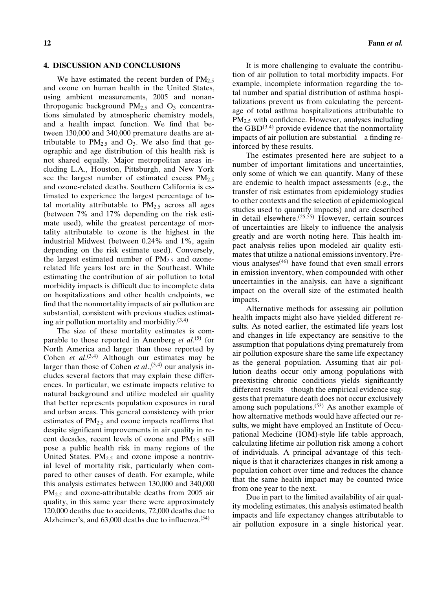### **4. DISCUSSION AND CONCLUSIONS**

We have estimated the recent burden of  $PM_{2.5}$ and ozone on human health in the United States, using ambient measurements, 2005 and nonanthropogenic background  $PM_{2.5}$  and  $O_3$  concentrations simulated by atmospheric chemistry models, and a health impact function. We find that between 130,000 and 340,000 premature deaths are attributable to  $PM_{2.5}$  and  $O_3$ . We also find that geographic and age distribution of this health risk is not shared equally. Major metropolitan areas including L.A., Houston, Pittsburgh, and New York see the largest number of estimated excess  $PM<sub>2.5</sub>$ and ozone-related deaths. Southern California is estimated to experience the largest percentage of total mortality attributable to  $PM<sub>2.5</sub>$  across all ages (between 7% and 17% depending on the risk estimate used), while the greatest percentage of mortality attributable to ozone is the highest in the industrial Midwest (between 0.24% and 1%, again depending on the risk estimate used). Conversely, the largest estimated number of  $PM_{2.5}$  and ozonerelated life years lost are in the Southeast. While estimating the contribution of air pollution to total morbidity impacts is difficult due to incomplete data on hospitalizations and other health endpoints, we find that the nonmortality impacts of air pollution are substantial, consistent with previous studies estimating air pollution mortality and morbidity. $(3,4)$ 

The size of these mortality estimates is comparable to those reported in Anenberg *et al*.<sup>(5)</sup> for North America and larger than those reported by Cohen *et al.*<sup> $(3,4)$ </sup> Although our estimates may be larger than those of Cohen *et al*.,(3,4) our analysis includes several factors that may explain these differences. In particular, we estimate impacts relative to natural background and utilize modeled air quality that better represents population exposures in rural and urban areas. This general consistency with prior estimates of  $PM<sub>2.5</sub>$  and ozone impacts reaffirms that despite significant improvements in air quality in recent decades, recent levels of ozone and  $PM_{2.5}$  still pose a public health risk in many regions of the United States.  $PM_{2.5}$  and ozone impose a nontrivial level of mortality risk, particularly when compared to other causes of death. For example, while this analysis estimates between 130,000 and 340,000 PM2.<sup>5</sup> and ozone-attributable deaths from 2005 air quality, in this same year there were approximately 120,000 deaths due to accidents, 72,000 deaths due to Alzheimer's, and  $63,000$  deaths due to influenza.<sup> $(54)$ </sup>

It is more challenging to evaluate the contribution of air pollution to total morbidity impacts. For example, incomplete information regarding the total number and spatial distribution of asthma hospitalizations prevent us from calculating the percentage of total asthma hospitalizations attributable to  $PM_{2.5}$  with confidence. However, analyses including the GBD $^{(3,4)}$  provide evidence that the nonmortality impacts of air pollution are substantial—a finding reinforced by these results.

The estimates presented here are subject to a number of important limitations and uncertainties, only some of which we can quantify. Many of these are endemic to health impact assessments (e.g., the transfer of risk estimates from epidemiology studies to other contexts and the selection of epidemiological studies used to quantify impacts) and are described in detail elsewhere.(25,55) However, certain sources of uncertainties are likely to influence the analysis greatly and are worth noting here. This health impact analysis relies upon modeled air quality estimates that utilize a national emissions inventory. Previous analyses<sup> $(46)$ </sup> have found that even small errors in emission inventory, when compounded with other uncertainties in the analysis, can have a significant impact on the overall size of the estimated health impacts.

Alternative methods for assessing air pollution health impacts might also have yielded different results. As noted earlier, the estimated life years lost and changes in life expectancy are sensitive to the assumption that populations dying prematurely from air pollution exposure share the same life expectancy as the general population. Assuming that air pollution deaths occur only among populations with preexisting chronic conditions yields significantly different results—though the empirical evidence suggests that premature death does not occur exclusively among such populations. $(53)$  As another example of how alternative methods would have affected our results, we might have employed an Institute of Occupational Medicine (IOM)-style life table approach, calculating lifetime air pollution risk among a cohort of individuals. A principal advantage of this technique is that it characterizes changes in risk among a population cohort over time and reduces the chance that the same health impact may be counted twice from one year to the next.

Due in part to the limited availability of air quality modeling estimates, this analysis estimated health impacts and life expectancy changes attributable to air pollution exposure in a single historical year.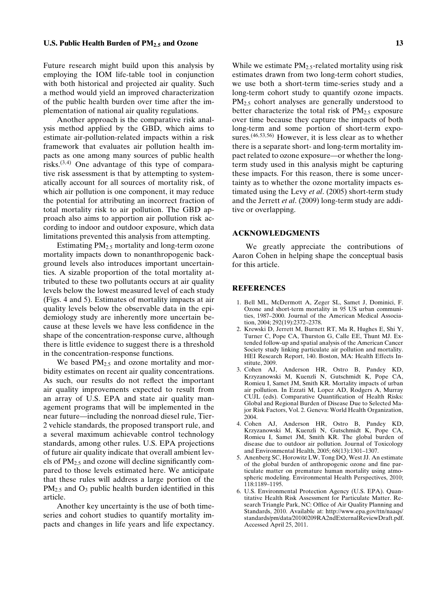Future research might build upon this analysis by employing the IOM life-table tool in conjunction with both historical and projected air quality. Such a method would yield an improved characterization of the public health burden over time after the implementation of national air quality regulations.

Another approach is the comparative risk analysis method applied by the GBD, which aims to estimate air-pollution-related impacts within a risk framework that evaluates air pollution health impacts as one among many sources of public health risks.(3,4) One advantage of this type of comparative risk assessment is that by attempting to systematically account for all sources of mortality risk, of which air pollution is one component, it may reduce the potential for attributing an incorrect fraction of total mortality risk to air pollution. The GBD approach also aims to apportion air pollution risk according to indoor and outdoor exposure, which data limitations prevented this analysis from attempting.

Estimating  $PM_{2.5}$  mortality and long-term ozone mortality impacts down to nonanthropogenic background levels also introduces important uncertainties. A sizable proportion of the total mortality attributed to these two pollutants occurs at air quality levels below the lowest measured level of each study (Figs. 4 and 5). Estimates of mortality impacts at air quality levels below the observable data in the epidemiology study are inherently more uncertain because at these levels we have less confidence in the shape of the concentration-response curve, although there is little evidence to suggest there is a threshold in the concentration-response functions.

We based  $PM_{2,5}$  and ozone mortality and morbidity estimates on recent air quality concentrations. As such, our results do not reflect the important air quality improvements expected to result from an array of U.S. EPA and state air quality management programs that will be implemented in the near future—including the nonroad diesel rule, Tier-2 vehicle standards, the proposed transport rule, and a several maximum achievable control technology standards, among other rules. U.S. EPA projections of future air quality indicate that overall ambient levels of  $PM_{2,5}$  and ozone will decline significantly compared to those levels estimated here. We anticipate that these rules will address a large portion of the  $PM_{2.5}$  and  $O_3$  public health burden identified in this article.

Another key uncertainty is the use of both timeseries and cohort studies to quantify mortality impacts and changes in life years and life expectancy.

While we estimate  $PM_{2.5}$ -related mortality using risk estimates drawn from two long-term cohort studies, we use both a short-term time-series study and a long-term cohort study to quantify ozone impacts. PM<sub>2.5</sub> cohort analyses are generally understood to better characterize the total risk of  $PM_{2.5}$  exposure over time because they capture the impacts of both long-term and some portion of short-term exposures.<sup> $(46,53,56)$ </sup> However, it is less clear as to whether there is a separate short- and long-term mortality impact related to ozone exposure—or whether the longterm study used in this analysis might be capturing these impacts. For this reason, there is some uncertainty as to whether the ozone mortality impacts estimated using the Levy *et al*. (2005) short-term study and the Jerrett *et al*. (2009) long-term study are additive or overlapping.

### **ACKNOWLEDGMENTS**

We greatly appreciate the contributions of Aaron Cohen in helping shape the conceptual basis for this article.

#### **REFERENCES**

- 1. Bell ML, McDermott A, Zeger SL, Samet J, Dominici, F. Ozone and short-term mortality in 95 US urban communities, 1987–2000. Journal of the American Medical Association, 2004; 292(19):2372–2378.
- 2. Krewski D, Jerrett M, Burnett RT, Ma R, Hughes E, Shi Y, Turner C, Pope CA, Thurston G, Calle EE, Thunt MJ. Extended follow-up and spatial analysis of the American Cancer Society study linking particulate air pollution and mortality. HEI Research Report, 140. Boston, MA: Health Effects Institute, 2009.
- 3. Cohen AJ, Anderson HR, Ostro B, Pandey KD, Krzyzanowski M, Kuenzli N, Gutschmidt K, Pope CA, Romieu I, Samet JM, Smith KR. Mortality impacts of urban air pollution. In Ezzati M, Lopez AD, Rodgers A, Murray CUJL (eds). Comparative Quantification of Health Risks: Global and Regional Burden of Disease Due to Selected Major Risk Factors, Vol. 2. Geneva: World Health Organization, 2004.
- 4. Cohen AJ, Anderson HR, Ostro B, Pandey KD, Krzyzanowski M, Kuenzli N, Gutschmidt K, Pope CA, Romieu I, Samet JM, Smith KR. The global burden of disease due to outdoor air pollution. Journal of Toxicology and Environmental Health, 2005; 68(13):1301–1307.
- 5. Anenberg SC, Horowitz LW, Tong DQ, West JJ. An estimate of the global burden of anthropogenic ozone and fine particulate matter on premature human mortality using atmospheric modeling. Environmental Health Perspectives, 2010; 118:1189–1195.
- 6. U.S. Environmental Protection Agency (U.S. EPA). Quantitative Health Risk Assessment for Particulate Matter. Research Triangle Park, NC: Office of Air Quality Planning and Standards, 2010. Available at: http://www.epa.gov/ttn/naaqs/ standards/pm/data/20100209RA2ndExternalReviewDraft.pdf. Accessed April 25, 2011.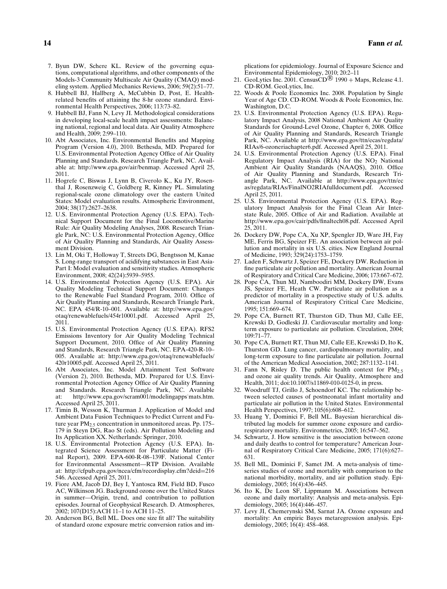- 7. Byun DW, Schere KL. Review of the governing equations, computational algorithms, and other components of the Models-3 Community Multiscale Air Quality (CMAQ) modeling system. Applied Mechanics Reviews, 2006; 59(2):51–77.
- 8. Hubbell BJ, Hallberg A, McCubbin D, Post, E. Healthrelated benefits of attaining the 8-hr ozone standard. Environmental Health Perspectives, 2006; 113:73–82.
- 9. Hubbell BJ, Fann N, Levy JI. Methodological considerations in developing local-scale health impact assessments: Balancing national, regional and local data. Air Quality Atmosphere and Health, 2009; 2:99–110.
- 10. Abt Associates, Inc. Environmental Benefits and Mapping Program (Version 4.0), 2010. Bethesda, MD. Prepared for U.S. Environmental Protection Agency Office of Air Quality Planning and Standards. Research Triangle Park, NC. Available at: http://www.epa.gov/air/benmap. Accessed April 25, 2011.
- 11. Hogrefe C, Biswas J, Lynn B, Civerolo K., Ku JY, Rosenthal J, Rosenzweig C, Goldberg R, Kinney PL. Simulating regional-scale ozone climatology over the eastern United States: Model evaluation results. Atmospheric Environment, 2004; 38(17):2627–2638.
- 12. U.S. Environmental Protection Agency (U.S. EPA). Technical Support Document for the Final Locomotive/Marine Rule: Air Quality Modeling Analyses, 2008. Research Triangle Park, NC: U.S. Environmental Protection Agency, Office of Air Quality Planning and Standards, Air Quality Assessment Division.
- 13. Lin M, Oki T, Holloway T, Streets DG, Bengtsson M, Kanae S. Long-range transport of acidifying substances in East Asia-Part I: Model evaluation and sensitivity studies. Atmospheric Environment, 2008; 42(24):5939–5955.
- 14. U.S. Environmental Protection Agency (U.S. EPA). Air Quality Modeling Technical Support Document: Changes to the Renewable Fuel Standard Program, 2010. Office of Air Quality Planning and Standards, Research Triangle Park, NC. EPA 454/R-10–001. Available at: http://www.epa.gov/ otaq/renewablefuels/454r10001.pdf. Accessed April 25, 2011.
- 15. U.S. Environmental Protection Agency (U.S. EPA). RFS2 Emissions Inventory for Air Quality Modeling Technical Support Document, 2010. Office of Air Quality Planning and Standards, Research Triangle Park, NC. EPA-420-R-10– 005. Available at: http://www.epa.gov/otaq/renewablefuels/ 420r10005.pdf. Accessed April 25, 2011.
- 16. Abt Associates, Inc. Model Attainment Test Software (Version 2), 2010. Bethesda, MD. Prepared for U.S. Environmental Protection Agency Office of Air Quality Planning and Standards. Research Triangle Park, NC. Available at: http://www.epa.gov/scram001/modelingapps˙mats.htm. Accessed April 25, 2011.
- 17. Timin B, Wesson K, Thurman J. Application of Model and Ambient Data Fusion Techniques to Predict Current and Future year  $PM<sub>2.5</sub>$  concentration in unmonitored areas. Pp. 175– 179 in Steyn DG, Rao St (eds). Air Pollution Modeling and Its Application XX. Netherlands: Springer, 2010.
- 18. U.S. Environmental Protection Agency (U.S. EPA). Integrated Science Assessment for Particulate Matter (Final Report), 2009. EPA-600-R-08–139F. National Center for Environmental Assessment—RTP Division. Available at: http://cfpub.epa.gov/ncea/cfm/recordisplay.cfm?deid=216 546. Accessed April 25, 2011.
- 19. Fiore AM, Jacob DJ, Bey I, Yantosca RM, Field BD, Fusco AC, Wilkinson JG. Background ozone over the United States in summer—Origin, trend, and contribution to pollution episodes. Journal of Geophysical Research. D. Atmospheres, 2002; 107(D15):ACH 11–1 to ACH 11–25.
- 20. Anderson BG, Bell ML. Does one size fit all? The suitability of standard ozone exposure metric conversion ratios and im-

plications for epidemiology. Journal of Exposure Science and Environmental Epidemiology, 2010; 20:2–11

- 21. GeoLytics Inc. 2001. CensusCD<sup>®</sup> 1990 + Maps, Release 4.1. CD-ROM. GeoLytics, Inc.
- 22. Woods & Poole Economics Inc. 2008. Population by Single Year of Age CD. CD-ROM. Woods & Poole Economics, Inc. Washington, D.C.
- 23. U.S. Environmental Protection Agency (U.S. EPA). Regulatory Impact Analysis, 2008 National Ambient Air Quality Standards for Ground-Level Ozone, Chapter 6, 2008. Office of Air Quality Planning and Standards, Research Triangle Park, NC. Available at http://www.epa.gov/ttn/ecas/regdata/ RIAs/6-ozoneriachapter6.pdf. Accessed April 25, 2011.
- 24. U.S. Environmental Protection Agency (U.S. EPA). Final Regulatory Impact Analysis (RIA) for the  $NO<sub>2</sub>$  National Ambient Air Quality Standards (NAAQS), 2010. Office of Air Quality Planning and Standards, Research Triangle Park, NC. Available at http://www.epa.gov/ttn/ec as/regdata/RIAs/FinalNO2RIAfulldocument.pdf. Accessed April 25, 2011.
- 25. U.S. Environmental Protection Agency (U.S. EPA). Regulatory Impact Analysis for the Final Clean Air Interstate Rule, 2005. Office of Air and Radiation. Available at http://www.epa.gov/cair/pdfs/finaltech08.pdf. Accessed April 25, 2011.
- 26. Dockery DW, Pope CA, Xu XP, Spengler JD, Ware JH, Fay ME, Ferris BG, Speizer FE. An association between air pollution and mortality in six U.S. cities. New England Journal of Medicine, 1993; 329(24):1753–1759.
- 27. Laden F, Schwartz J, Speizer FE, Dockery DW. Reduction in fine particulate air pollution and mortality. American Journal of Respiratory and Critical Care Medicine, 2006; 173:667–672.
- 28. Pope CA, Thun MJ, Namboodiri MM, Dockery DW, Evans JS, Speizer FE, Heath CW. Particulate air pollution as a predictor of mortality in a prospective study of U.S. adults. American Journal of Respiratory Critical Care Medicine, 1995; 151:669–674.
- 29. Pope CA, Burnett RT, Thurston GD, Thun MJ, Calle EE, Krewski D, Godleski JJ. Cardiovascular mortality and longterm exposure to particulate air pollution. Circulation, 2004; 109:71–77.
- 30. Pope CA, Burnett RT, Thun MJ, Calle EE, Krewski D, Ito K, Thurston GD. Lung cancer, cardiopulmonary mortality, and long-term exposure to fine particulate air pollution. Journal of the American Medical Association, 2002; 287:1132–1141.
- 31. Fann N, Risley D. The public health context for PM2.<sup>5</sup> and ozone air quality trends. Air Quality, Atmosphere and Health, 2011; doi:10.1007/s11869-010-0125-0, in press.
- 32. Woodruff TJ, Grillo J, Schoendorf KC. The relationship between selected causes of postneonatal infant mortality and particulate air pollution in the United States. Environmental Health Perspectives, 1997; 105(6):608–612.
- 33. Huang Y, Dominici F, Bell ML. Bayesian hierarchical distributed lag models for summer ozone exposure and cardiorespiratory mortality. Environmetrics, 2005; 16:547–562.
- 34. Schwartz, J. How sensitive is the association between ozone and daily deaths to control for temperature? American Journal of Respiratory Critical Care Medicine, 2005; 171(6):627– 631.
- 35. Bell ML, Dominici F, Samet JM. A meta-analysis of timeseries studies of ozone and mortality with comparison to the national morbidity, mortality, and air pollution study. Epidemiology, 2005; 16(4):436–445.
- 36. Ito K, De Leon SF, Lippmann M. Associations between ozone and daily mortality: Analysis and meta-analysis. Epidemiology, 2005; 16(4):446–457.
- 37. Levy JI, Chemerynski SM, Sarnat JA. Ozone exposure and mortality: An empiric Bayes metaregression analysis. Epidemiology, 2005; 16(4): 458–468.